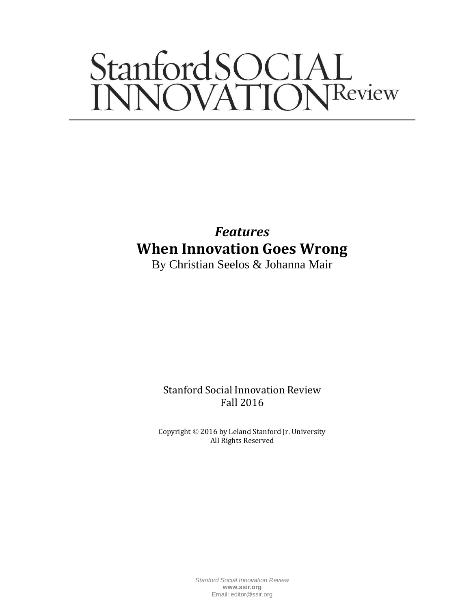# StanfordSOCIAL<br>INNOVATIONReview

*Features* **When Innovation Goes Wrong**

By Christian Seelos & Johanna Mair

Stanford Social Innovation Review Fall 2016

Copyright © 2016 by Leland Stanford Jr. University All Rights Reserved

> *Stanford Social Innovation Review* **www.ssir.org** Email: editor@ssir.org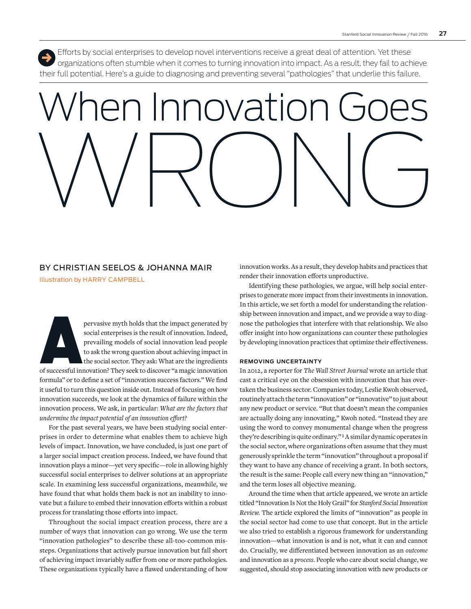Efforts by social enterprises to develop novel interventions receive a great deal of attention. Yet these organizations often stumble when it comes to turning innovation into impact. As a result, they fail to achieve their full potential. Here's a guide to diagnosing and preventing several "pathologies" that underlie this failure. ,

## When Innovation Goes WRONG

## BY CHRISTIAN SEELOS & JOHANNA MAIR

Illustration by HARRY CAMPBELL

pervasive myth holds that the impact generated by social enterprises is the result of innovation. Indeed, prevailing models of social innovation about achieving impact in the social sector. They ask: What are the ingredien social enterprises is the result of innovation. Indeed, prevailing models of social innovation lead people to ask the wrong question about achieving impact in the social sector. They ask: What are the ingredients

formula" or to define a set of "innovation success factors." We find it useful to turn this question inside out. Instead of focusing on how innovation succeeds, we look at the dynamics of failure within the innovation process. We ask, in particular: *What are the factors that undermine the impact potential of an innovation effort?* 

For the past several years, we have been studying social enterprises in order to determine what enables them to achieve high levels of impact. Innovation, we have concluded, is just one part of a larger social impact creation process. Indeed, we have found that innovation plays a minor—yet very specific—role in allowing highly successful social enterprises to deliver solutions at an appropriate scale. In examining less successful organizations, meanwhile, we have found that what holds them back is not an inability to innovate but a failure to embed their innovation efforts within a robust process for translating those efforts into impact.

Throughout the social impact creation process, there are a number of ways that innovation can go wrong. We use the term "innovation pathologies" to describe these all-too-common missteps. Organizations that actively pursue innovation but fall short of achieving impact invariably suffer from one or more pathologies. These organizations typically have a flawed understanding of how innovation works. As a result, they develop habits and practices that render their innovation efforts unproductive.

Identifying these pathologies, we argue, will help social enterprises to generate more impact from their investments in innovation. In this article, we set forth a model for understanding the relationship between innovation and impact, and we provide a way to diagnose the pathologies that interfere with that relationship. We also offer insight into how organizations can counter these pathologies by developing innovation practices that optimize their effectiveness.

#### **REMOVING UNCERTAINTY**

In 2012, a reporter for *The Wall Street Journal* wrote an article that cast a critical eye on the obsession with innovation that has overtaken the business sector. Companies today, Leslie Kwoh observed, routinely attach the term "innovation" or "innovative" to just about any new product or service. "But that doesn't mean the companies are actually doing any innovating," Kwoh noted. "Instead they are using the word to convey monumental change when the progress they're describing is quite ordinary." **<sup>1</sup>** A similar dynamic operates in the social sector, where organizations often assume that they must generously sprinkle the term "innovation" throughout a proposal if they want to have any chance of receiving a grant. In both sectors, the result is the same: People call every new thing an "innovation," and the term loses all objective meaning.

Around the time when that article appeared, we wrote an article titled "Innovation Is Not the Holy Grail" for *Stanford Social Innovation Review.* The article explored the limits of "innovation" as people in the social sector had come to use that concept. But in the article we also tried to establish a rigorous framework for understanding innovation—what innovation is and is not, what it can and cannot do. Crucially, we differentiated between innovation as an *outcome* and innovation as a *process*. People who care about social change, we suggested, should stop associating innovation with new products or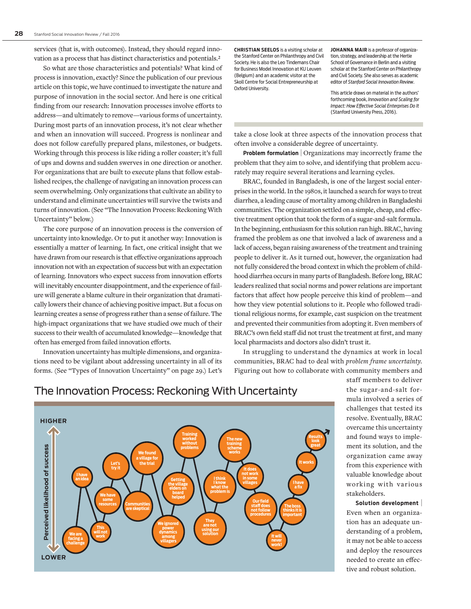services (that is, with outcomes). Instead, they should regard innovation as a process that has distinct characteristics and potentials.**<sup>2</sup>**

So what are those characteristics and potentials? What kind of process is innovation, exactly? Since the publication of our previous article on this topic, we have continued to investigate the nature and purpose of innovation in the social sector. And here is one critical finding from our research: Innovation processes involve efforts to address—and ultimately to remove—various forms of uncertainty. During most parts of an innovation process, it's not clear whether and when an innovation will succeed. Progress is nonlinear and does not follow carefully prepared plans, milestones, or budgets. Working through this process is like riding a roller coaster; it's full of ups and downs and sudden swerves in one direction or another. For organizations that are built to execute plans that follow established recipes, the challenge of navigating an innovation process can seem overwhelming. Only organizations that cultivate an ability to understand and eliminate uncertainties will survive the twists and turns of innovation. (See "The Innovation Process: Reckoning With Uncertainty" below.)

The core purpose of an innovation process is the conversion of uncertainty into knowledge. Or to put it another way: Innovation is essentially a matter of learning. In fact, one critical insight that we have drawn from our research is that effective organizations approach innovation not with an expectation of success but with an expectation of learning. Innovators who expect success from innovation efforts will inevitably encounter disappointment, and the experience of failure will generate a blame culture in their organization that dramatically lowers their chance of achieving positive impact. But a focus on learning creates a sense of progress rather than a sense of failure. The high-impact organizations that we have studied owe much of their success to their wealth of accumulated knowledge—knowledge that often has emerged from failed innovation efforts.

Innovation uncertainty has multiple dimensions, and organizations need to be vigilant about addressing uncertainty in all of its forms. (See "Types of Innovation Uncertainty" on page 29.) Let's CHRISTIAN SEELOS is a visiting scholar at the Stanford Center on Philanthropy and Civil Society. He is also the Leo Tindemans Chair for Business Model Innovation at KU Leuven (Belgium) and an academic visitor at the Skoll Centre for Social Entrepreneurship at Oxford University.

JOHANNA MAIR is a professor of organization, strategy, and leadership at the Hertie School of Governance in Berlin and a visiting scholar at the Stanford Center on Philanthropy and Civil Society. She also serves as academic editor of *Stanford Social Innovation Review*.

This article draws on material in the authors' forthcoming book, *Innovation and Scaling for Impact: How Effective Social Enterprises Do It*  (Stanford University Press, 2016).

take a close look at three aspects of the innovation process that often involve a considerable degree of uncertainty.

Problem formulation | Organizations may incorrectly frame the problem that they aim to solve, and identifying that problem accurately may require several iterations and learning cycles.

BRAC, founded in Bangladesh, is one of the largest social enterprises in the world. In the 1980s, it launched a search for ways to treat diarrhea, a leading cause of mortality among children in Bangladeshi communities. The organization settled on a simple, cheap, and effective treatment option that took the form of a sugar-and-salt formula. In the beginning, enthusiasm for this solution ran high. BRAC, having framed the problem as one that involved a lack of awareness and a lack of access, began raising awareness of the treatment and training people to deliver it. As it turned out, however, the organization had not fully considered the broad context in which the problem of childhood diarrhea occurs in many parts of Bangladesh. Before long, BRAC leaders realized that social norms and power relations are important factors that affect how people perceive this kind of problem—and how they view potential solutions to it. People who followed traditional religious norms, for example, cast suspicion on the treatment and prevented their communities from adopting it. Even members of BRAC's own field staff did not trust the treatment at first, and many local pharmacists and doctors also didn't trust it.

In struggling to understand the dynamics at work in local communities, BRAC had to deal with *problem frame uncertainty.* Figuring out how to collaborate with community members and



## The Innovation Process: Reckoning With Uncertainty

staff members to deliver the sugar-and-salt formula involved a series of challenges that tested its resolve. Eventually, BRAC overcame this uncertainty and found ways to implement its solution, and the organization came away from this experience with valuable knowledge about working with various stakeholders.

Solution development | Even when an organization has an adequate understanding of a problem, it may not be able to access and deploy the resources needed to create an effective and robust solution.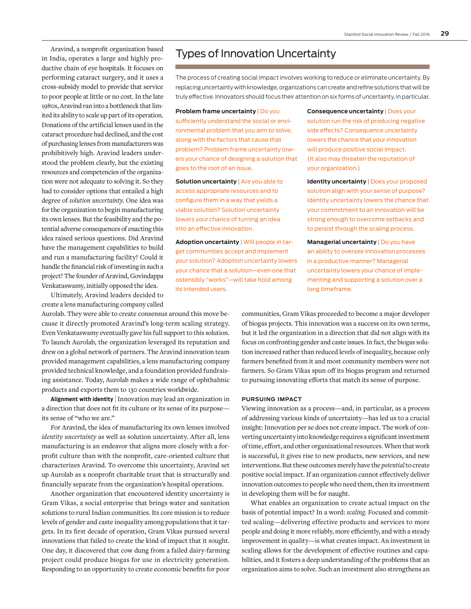Aravind, a nonprofit organization based in India, operates a large and highly productive chain of eye hospitals. It focuses on performing cataract surgery, and it uses a cross- subsidy model to provide that service to poor people at little or no cost. In the late 1980s, Aravind ran into a bottleneck that limited its ability to scale up part of its operation. Donations of the artificial lenses used in the cataract procedure had declined, and the cost of purchasing lenses from manufacturers was prohibitively high. Aravind leaders understood the problem clearly, but the existing resources and competencies of the organization were not adequate to solving it. So they had to consider options that entailed a high degree of *solution uncertainty.* One idea was for the organization to begin manufacturing its own lenses. But the feasibility and the potential adverse consequences of enacting this idea raised serious questions. Did Aravind have the management capabilities to build and run a manufacturing facility? Could it handle the financial risk of investing in such a project? The founder of Aravind, Govindappa Venkataswamy, initially opposed the idea.

Ultimately, Aravind leaders decided to create a lens manufacturing company called

Aurolab. They were able to create consensus around this move because it directly promoted Aravind's long-term scaling strategy. Even Venkataswamy eventually gave his full support to this solution. To launch Aurolab, the organization leveraged its reputation and drew on a global network of partners. The Aravind innovation team provided management capabilities, a lens manufacturing company provided technical knowledge, and a foundation provided fundraising assistance. Today, Aurolab makes a wide range of ophthalmic products and exports them to 130 countries worldwide.

**Alignment with identity** | Innovation may lead an organization in a direction that does not fit its culture or its sense of its purpose its sense of "who we are."

For Aravind, the idea of manufacturing its own lenses involved *identity uncertainty* as well as solution uncertainty. After all, lens manufacturing is an endeavor that aligns more closely with a forprofit culture than with the nonprofit, care-oriented culture that characterizes Aravind. To overcome this uncertainty, Aravind set up Aurolab as a nonprofit charitable trust that is structurally and financially separate from the organization's hospital operations.

Another organization that encountered identity uncertainty is Gram Vikas, a social enterprise that brings water and sanitation solutions to rural Indian communities. Its core mission is to reduce levels of gender and caste inequality among populations that it targets. In its first decade of operation, Gram Vikas pursued several innovations that failed to create the kind of impact that it sought. One day, it discovered that cow dung from a failed dairy-farming project could produce biogas for use in electricity generation. Responding to an opportunity to create economic benefits for poor

## Types of Innovation Uncertainty

The process of creating social impact involves working to reduce or eliminate uncertainty. By replacing uncertainty with knowledge, organizations can create and refine solutions that will be truly effective. Innovators should focus their attention on six forms of uncertainty, in particular.

**Problem frame uncertainty** | Do you sufficiently understand the social or environmental problem that you aim to solve, along with the factors that cause that problem? Problem frame uncertainty lowers your chance of designing a solution that goes to the root of an issue.

**Solution uncertainty** | Are you able to access appropriate resources and to configure them in a way that yields a viable solution? Solution uncertainty lowers your chance of turning an idea into an effective innovation.

**Adoption uncertainty** | Will people in target communities accept and implement your solution? Adoption uncertainty lowers your chance that a solution—even one that ostensibly "works"—will take hold among its intended users.

**Consequence uncertainty** | Does your solution run the risk of producing negative side effects? Consequence uncertainty lowers the chance that your innovation will produce positive social impact. (It also may threaten the reputation of your organization.)

**Identity uncertainty** | Does your proposed solution align with your sense of purpose? Identity uncertainty lowers the chance that your commitment to an innovation will be strong enough to overcome setbacks and to persist through the scaling process.

**Managerial uncertainty** | Do you have an ability to oversee innovation processes in a productive manner? Managerial uncertainty lowers your chance of implementing and supporting a solution over a long timeframe.

communities, Gram Vikas proceeded to become a major developer of biogas projects. This innovation was a success on its own terms, but it led the organization in a direction that did not align with its focus on confronting gender and caste issues. In fact, the biogas solution increased rather than reduced levels of inequality, because only farmers benefited from it and most community members were not farmers. So Gram Vikas spun off its biogas program and returned to pursuing innovating efforts that match its sense of purpose.

#### **PURSUING IMPACT**

Viewing innovation as a process—and, in particular, as a process of addressing various kinds of uncertainty—has led us to a crucial insight: Innovation per se does not create impact. The work of converting uncertainty into knowledge requires a significant investment of time, effort, and other organizational resources. When that work is successful, it gives rise to new products, new services, and new interventions. But these outcomes merely have the *potential* to create positive social impact. If an organization cannot effectively deliver innovation outcomes to people who need them, then its investment in developing them will be for naught.

What enables an organization to create actual impact on the basis of potential impact? In a word: *scaling*. Focused and committed scaling—delivering effective products and services to more people and doing it more reliably, more efficiently, and with a steady improvement in quality—is what creates impact. An investment in scaling allows for the development of effective routines and capabilities, and it fosters a deep understanding of the problems that an organization aims to solve. Such an investment also strengthens an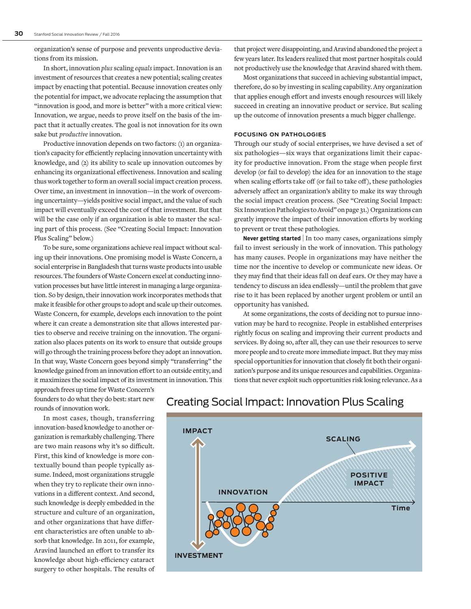organization's sense of purpose and prevents unproductive deviations from its mission.

In short, innovation *plus* scaling *equals* impact. Innovation is an investment of resources that creates a new potential; scaling creates impact by enacting that potential. Because innovation creates only the potential for impact, we advocate replacing the assumption that "innovation is good, and more is better" with a more critical view: Innovation, we argue, needs to prove itself on the basis of the impact that it actually creates. The goal is not innovation for its own sake but *productive* innovation.

Productive innovation depends on two factors: (1) an organization's capacity for efficiently replacing innovation uncertainty with knowledge, and (2) its ability to scale up innovation outcomes by enhancing its organizational effectiveness. Innovation and scaling thus work together to form an overall social impact creation process. Over time, an investment in innovation—in the work of overcoming uncertainty—yields positive social impact, and the value of such impact will eventually exceed the cost of that investment. But that will be the case only if an organization is able to master the scaling part of this process. (See "Creating Social Impact: Innovation Plus Scaling" below.)

To be sure, some organizations achieve real impact without scaling up their innovations. One promising model is Waste Concern, a social enterprise in Bangladesh that turns waste products into usable resources. The founders of Waste Concern excel at conducting innovation processes but have little interest in managing a large organization. So by design, their innovation work incorporates methods that make it feasible for other groups to adopt and scale up their outcomes. Waste Concern, for example, develops each innovation to the point where it can create a demonstration site that allows interested parties to observe and receive training on the innovation. The organization also places patents on its work to ensure that outside groups will go through the training process before they adopt an innovation. In that way, Waste Concern goes beyond simply "transferring" the knowledge gained from an innovation effort to an outside entity, and it maximizes the social impact of its investment in innovation. This that project were disappointing, and Aravind abandoned the project a few years later. Its leaders realized that most partner hospitals could not productively use the knowledge that Aravind shared with them.

Most organizations that succeed in achieving substantial impact, therefore, do so by investing in scaling capability. Any organization that applies enough effort and invests enough resources will likely succeed in creating an innovative product or service. But scaling up the outcome of innovation presents a much bigger challenge.

#### **FOCUSING ON PATHOLOGIES**

Through our study of social enterprises, we have devised a set of six pathologies—six ways that organizations limit their capacity for productive innovation. From the stage when people first develop (or fail to develop) the idea for an innovation to the stage when scaling efforts take off (or fail to take off), these pathologies adversely affect an organization's ability to make its way through the social impact creation process. (See "Creating Social Impact: Six Innovation Pathologies to Avoid" on page 31.) Organizations can greatly improve the impact of their innovation efforts by working to prevent or treat these pathologies.

**Never getting started** | In too many cases, organizations simply fail to invest seriously in the work of innovation. This pathology has many causes. People in organizations may have neither the time nor the incentive to develop or communicate new ideas. Or they may find that their ideas fall on deaf ears. Or they may have a tendency to discuss an idea endlessly—until the problem that gave rise to it has been replaced by another urgent problem or until an opportunity has vanished.

At some organizations, the costs of deciding not to pursue innovation may be hard to recognize. People in established enterprises rightly focus on scaling and improving their current products and services. By doing so, after all, they can use their resources to serve more people and to create more immediate impact. But they may miss special opportunities for innovation that closely fit both their organization's purpose and its unique resources and capabilities. Organizations that never exploit such opportunities risk losing relevance. As a

approach frees up time for Waste Concern's founders to do what they do best: start new rounds of innovation work.

In most cases, though, transferring innovation-based knowledge to another organization is remarkably challenging. There are two main reasons why it's so difficult. First, this kind of knowledge is more contextually bound than people typically assume. Indeed, most organizations struggle when they try to replicate their own innovations in a different context. And second, such knowledge is deeply embedded in the structure and culture of an organization, and other organizations that have different characteristics are often unable to absorb that knowledge. In 2011, for example, Aravind launched an effort to transfer its knowledge about high-efficiency cataract surgery to other hospitals. The results of



### Creating Social Impact: Innovation Plus Scaling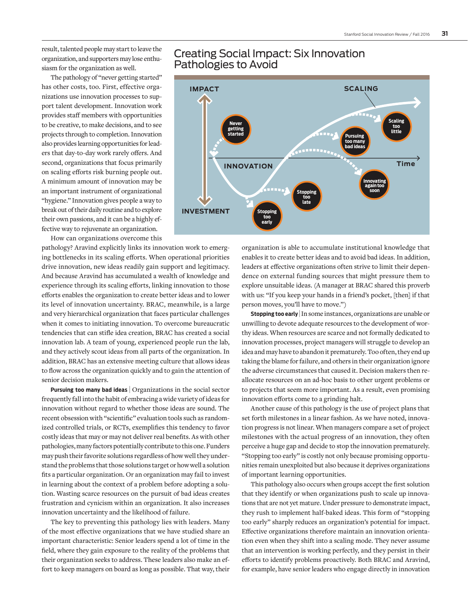result, talented people may start to leave the organization, and supporters may lose enthusiasm for the organization as well.

The pathology of "never getting started" has other costs, too. First, effective organizations use innovation processes to support talent development. Innovation work provides staff members with opportunities to be creative, to make decisions, and to see projects through to completion. Innovation also provides learning opportunities for leaders that day-to-day work rarely offers. And second, organizations that focus primarily on scaling efforts risk burning people out. A minimum amount of innovation may be an important instrument of organizational "hygiene." Innovation gives people a way to break out of their daily routine and to explore their own passions, and it can be a highly effective way to rejuvenate an organization.

How can organizations overcome this

pathology? Aravind explicitly links its innovation work to emerging bottlenecks in its scaling efforts. When operational priorities drive innovation, new ideas readily gain support and legitimacy. And because Aravind has accumulated a wealth of knowledge and experience through its scaling efforts, linking innovation to those efforts enables the organization to create better ideas and to lower its level of innovation uncertainty. BRAC, meanwhile, is a large and very hierarchical organization that faces particular challenges when it comes to initiating innovation. To overcome bureaucratic tendencies that can stifle idea creation, BRAC has created a social innovation lab. A team of young, experienced people run the lab, and they actively scout ideas from all parts of the organization. In addition, BRAC has an extensive meeting culture that allows ideas to flow across the organization quickly and to gain the attention of senior decision makers.

**Pursuing too many bad ideas** | Organizations in the social sector frequently fall into the habit of embracing a wide variety of ideas for innovation without regard to whether those ideas are sound. The recent obsession with "scientific" evaluation tools such as randomized controlled trials, or RCTs, exemplifies this tendency to favor costly ideas that may or may not deliver real benefits. As with other pathologies, many factors potentially contribute to this one. Funders may push their favorite solutions regardless of how well they understand the problems that those solutions target or how well a solution fits a particular organization. Or an organization may fail to invest in learning about the context of a problem before adopting a solution. Wasting scarce resources on the pursuit of bad ideas creates frustration and cynicism within an organization. It also increases innovation uncertainty and the likelihood of failure.

The key to preventing this pathology lies with leaders. Many of the most effective organizations that we have studied share an important characteristic: Senior leaders spend a lot of time in the field, where they gain exposure to the reality of the problems that their organization seeks to address. These leaders also make an effort to keep managers on board as long as possible. That way, their

### Creating Social Impact: Six Innovation Pathologies to Avoid



organization is able to accumulate institutional knowledge that enables it to create better ideas and to avoid bad ideas. In addition, leaders at effective organizations often strive to limit their dependence on external funding sources that might pressure them to explore unsuitable ideas. (A manager at BRAC shared this proverb with us: "If you keep your hands in a friend's pocket, [then] if that person moves, you'll have to move.")

**Stopping too early** | In some instances, organizations are unable or unwilling to devote adequate resources to the development of worthy ideas. When resources are scarce and not formally dedicated to innovation processes, project managers will struggle to develop an idea and may have to abandon it prematurely. Too often, they end up taking the blame for failure, and others in their organization ignore the adverse circumstances that caused it. Decision makers then reallocate resources on an ad-hoc basis to other urgent problems or to projects that seem more important. As a result, even promising innovation efforts come to a grinding halt.

Another cause of this pathology is the use of project plans that set forth milestones in a linear fashion. As we have noted, innovation progress is not linear. When managers compare a set of project milestones with the actual progress of an innovation, they often perceive a huge gap and decide to stop the innovation prematurely. "Stopping too early" is costly not only because promising opportunities remain unexploited but also because it deprives organizations of important learning opportunities.

This pathology also occurs when groups accept the first solution that they identify or when organizations push to scale up innovations that are not yet mature. Under pressure to demonstrate impact, they rush to implement half-baked ideas. This form of "stopping too early" sharply reduces an organization's potential for impact. Effective organizations therefore maintain an innovation orientation even when they shift into a scaling mode. They never assume that an intervention is working perfectly, and they persist in their efforts to identify problems proactively. Both BRAC and Aravind, for example, have senior leaders who engage directly in innovation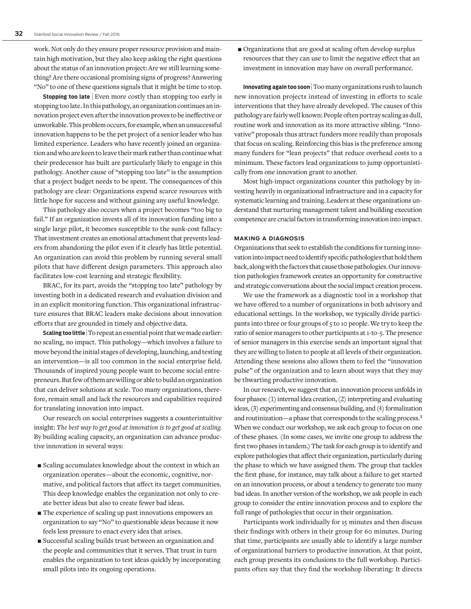work. Not only do they ensure proper resource provision and maintain high motivation, but they also keep asking the right questions about the status of an innovation project: Are we still learning something? Are there occasional promising signs of progress? Answering "No" to one of these questions signals that it might be time to stop.

**Stopping too late** | Even more costly than stopping too early is stopping too late. In this pathology, an organization continues an innovation project even after the innovation proves to be ineffective or unworkable. This problem occurs, for example, when an unsuccessful innovation happens to be the pet project of a senior leader who has limited experience. Leaders who have recently joined an organization and who are keen to leave their mark rather than continue what their predecessor has built are particularly likely to engage in this pathology. Another cause of "stopping too late" is the assumption that a project budget needs to be spent. The consequences of this pathology are clear: Organizations expend scarce resources with little hope for success and without gaining any useful knowledge.

This pathology also occurs when a project becomes "too big to fail." If an organization invests all of its innovation funding into a single large pilot, it becomes susceptible to the sunk-cost fallacy: That investment creates an emotional attachment that prevents leaders from abandoning the pilot even if it clearly has little potential. An organization can avoid this problem by running several small pilots that have different design parameters. This approach also facilitates low-cost learning and strategic flexibility.

BRAC, for its part, avoids the "stopping too late" pathology by investing both in a dedicated research and evaluation division and in an explicit monitoring function. This organizational infrastructure ensures that BRAC leaders make decisions about innovation efforts that are grounded in timely and objective data.

**Scaling too little** To repeat an essential point that we made earlier: no scaling, no impact. This pathology—which involves a failure to move beyond the initial stages of developing, launching, and testing an intervention—is all too common in the social enterprise field. Thousands of inspired young people want to become social entrepreneurs. But few of them are willing or able to build an organization that can deliver solutions at scale. Too many organizations, therefore, remain small and lack the resources and capabilities required for translating innovation into impact.

Our research on social enterprises suggests a counterintuitive insight: *The best way to get good at innovation is to get good at scaling.* By building scaling capacity, an organization can advance productive innovation in several ways:

- $\blacksquare$  Scaling accumulates knowledge about the context in which an organization operates—about the economic, cognitive, normative, and political factors that affect its target communities. This deep knowledge enables the organization not only to create better ideas but also to create fewer bad ideas.
- $\blacksquare$  The experience of scaling up past innovations empowers an organization to say "No" to questionable ideas because it now feels less pressure to enact every idea that arises.
- Successful scaling builds trust between an organization and the people and communities that it serves. That trust in turn enables the organization to test ideas quickly by incorporating small pilots into its ongoing operations.

 $\blacksquare$  Organizations that are good at scaling often develop surplus resources that they can use to limit the negative effect that an investment in innovation may have on overall performance.

**Innovating again too soon** | Too many organizations rush to launch new innovation projects instead of investing in efforts to scale interventions that they have already developed. The causes of this pathology are fairly well known: People often portray scaling as dull, routine work and innovation as its more attractive sibling. "Innovative" proposals thus attract funders more readily than proposals that focus on scaling. Reinforcing this bias is the preference among many funders for "lean projects" that reduce overhead costs to a minimum. These factors lead organizations to jump opportunistically from one innovation grant to another.

Most high-impact organizations counter this pathology by investing heavily in organizational infrastructure and in a capacity for systematic learning and training. Leaders at these organizations understand that nurturing management talent and building execution competence are crucial factors in transforming innovation into impact.

#### **MAKING A DIAGNOSIS**

Organizations that seek to establish the conditions for turning innovation into impact need to identify specific pathologies that hold them back, along with the factors that cause those pathologies. Our innovation pathologies framework creates an opportunity for constructive and strategic conversations about the social impact creation process.

We use the framework as a diagnostic tool in a workshop that we have offered to a number of organizations in both advisory and educational settings. In the workshop, we typically divide participants into three or four groups of 5 to 10 people. We try to keep the ratio of senior managers to other participants at 1-to-5. The presence of senior managers in this exercise sends an important signal that they are willing to listen to people at all levels of their organization. Attending these sessions also allows them to feel the "innovation pulse" of the organization and to learn about ways that they may be thwarting productive innovation.

In our research, we suggest that an innovation process unfolds in four phases: (1) internal idea creation, (2) interpreting and evaluating ideas, (3) experimenting and consensus building, and (4) formalization and routinization—a phase that corresponds to the scaling process.**<sup>3</sup>** When we conduct our workshop, we ask each group to focus on one of these phases. (In some cases, we invite one group to address the first two phases in tandem.) The task for each group is to identify and explore pathologies that affect their organization, particularly during the phase to which we have assigned them. The group that tackles the first phase, for instance, may talk about a failure to get started on an innovation process, or about a tendency to generate too many bad ideas. In another version of the workshop, we ask people in each group to consider the entire innovation process and to explore the full range of pathologies that occur in their organization.

Participants work individually for 15 minutes and then discuss their findings with others in their group for 60 minutes. During that time, participants are usually able to identify a large number of organizational barriers to productive innovation. At that point, each group presents its conclusions to the full workshop. Participants often say that they find the workshop liberating: It directs